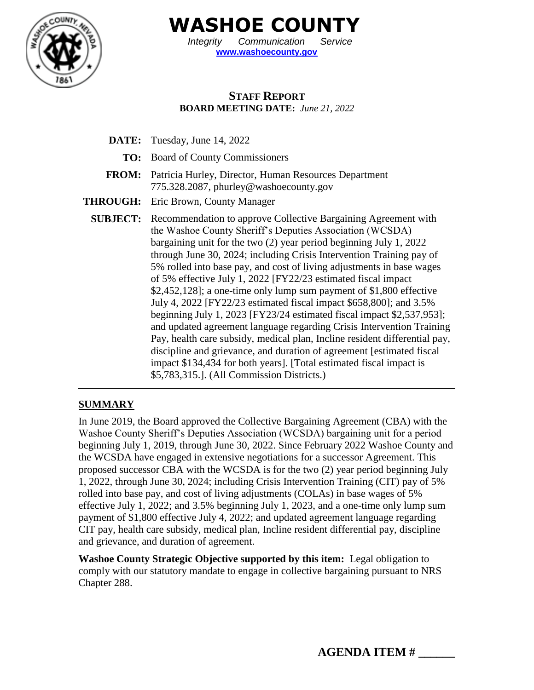

**WASHOE COUNTY**

*Integrity Communication Service* **[www.washoecounty.gov](http://www.washoecounty.gov/)**

# **STAFF REPORT BOARD MEETING DATE:** *June 21, 2022*

- **DATE:** Tuesday, June 14, 2022
	- **TO:** Board of County Commissioners
- **FROM:** Patricia Hurley, Director, Human Resources Department 775.328.2087, phurley@washoecounty.gov
- **THROUGH:** Eric Brown, County Manager
	- **SUBJECT:** Recommendation to approve Collective Bargaining Agreement with the Washoe County Sheriff's Deputies Association (WCSDA) bargaining unit for the two (2) year period beginning July 1, 2022 through June 30, 2024; including Crisis Intervention Training pay of 5% rolled into base pay, and cost of living adjustments in base wages of 5% effective July 1, 2022 [FY22/23 estimated fiscal impact \$2,452,128]; a one-time only lump sum payment of \$1,800 effective July 4, 2022 [FY22/23 estimated fiscal impact \$658,800]; and 3.5% beginning July 1, 2023 [FY23/24 estimated fiscal impact \$2,537,953]; and updated agreement language regarding Crisis Intervention Training Pay, health care subsidy, medical plan, Incline resident differential pay, discipline and grievance, and duration of agreement [estimated fiscal impact \$134,434 for both years]. [Total estimated fiscal impact is \$5,783,315.]. (All Commission Districts.)

## **SUMMARY**

In June 2019, the Board approved the Collective Bargaining Agreement (CBA) with the Washoe County Sheriff's Deputies Association (WCSDA) bargaining unit for a period beginning July 1, 2019, through June 30, 2022. Since February 2022 Washoe County and the WCSDA have engaged in extensive negotiations for a successor Agreement. This proposed successor CBA with the WCSDA is for the two (2) year period beginning July 1, 2022, through June 30, 2024; including Crisis Intervention Training (CIT) pay of 5% rolled into base pay, and cost of living adjustments (COLAs) in base wages of 5% effective July 1, 2022; and 3.5% beginning July 1, 2023, and a one-time only lump sum payment of \$1,800 effective July 4, 2022; and updated agreement language regarding CIT pay, health care subsidy, medical plan, Incline resident differential pay, discipline and grievance, and duration of agreement.

**Washoe County Strategic Objective supported by this item:** Legal obligation to comply with our statutory mandate to engage in collective bargaining pursuant to NRS Chapter 288.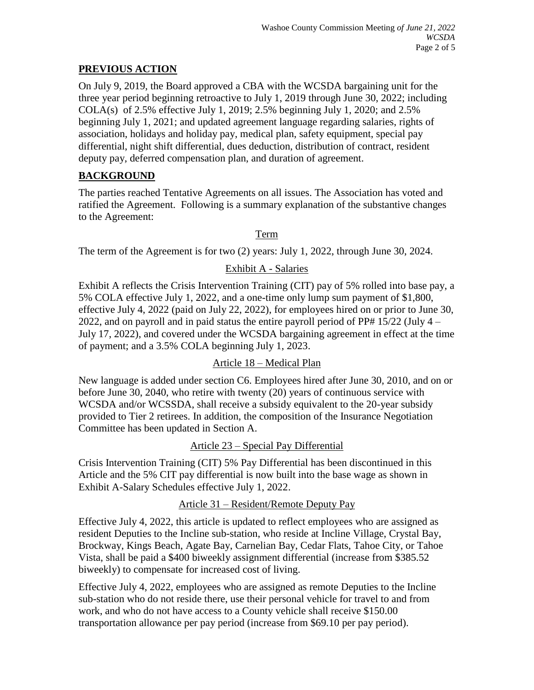### **PREVIOUS ACTION**

On July 9, 2019, the Board approved a CBA with the WCSDA bargaining unit for the three year period beginning retroactive to July 1, 2019 through June 30, 2022; including COLA(s) of 2.5% effective July 1, 2019; 2.5% beginning July 1, 2020; and 2.5% beginning July 1, 2021; and updated agreement language regarding salaries, rights of association, holidays and holiday pay, medical plan, safety equipment, special pay differential, night shift differential, dues deduction, distribution of contract, resident deputy pay, deferred compensation plan, and duration of agreement.

# **BACKGROUND**

The parties reached Tentative Agreements on all issues. The Association has voted and ratified the Agreement. Following is a summary explanation of the substantive changes to the Agreement:

## Term

The term of the Agreement is for two (2) years: July 1, 2022, through June 30, 2024.

# Exhibit A - Salaries

Exhibit A reflects the Crisis Intervention Training (CIT) pay of 5% rolled into base pay, a 5% COLA effective July 1, 2022, and a one-time only lump sum payment of \$1,800, effective July 4, 2022 (paid on July 22, 2022), for employees hired on or prior to June 30, 2022, and on payroll and in paid status the entire payroll period of PP#  $15/22$  (July  $4 -$ July 17, 2022), and covered under the WCSDA bargaining agreement in effect at the time of payment; and a 3.5% COLA beginning July 1, 2023.

#### Article 18 – Medical Plan

New language is added under section C6. Employees hired after June 30, 2010, and on or before June 30, 2040, who retire with twenty (20) years of continuous service with WCSDA and/or WCSSDA, shall receive a subsidy equivalent to the 20-year subsidy provided to Tier 2 retirees. In addition, the composition of the Insurance Negotiation Committee has been updated in Section A.

## Article 23 – Special Pay Differential

Crisis Intervention Training (CIT) 5% Pay Differential has been discontinued in this Article and the 5% CIT pay differential is now built into the base wage as shown in Exhibit A-Salary Schedules effective July 1, 2022.

#### Article 31 – Resident/Remote Deputy Pay

Effective July 4, 2022, this article is updated to reflect employees who are assigned as resident Deputies to the Incline sub-station, who reside at Incline Village, Crystal Bay, Brockway, Kings Beach, Agate Bay, Carnelian Bay, Cedar Flats, Tahoe City, or Tahoe Vista, shall be paid a \$400 biweekly assignment differential (increase from \$385.52 biweekly) to compensate for increased cost of living.

Effective July 4, 2022, employees who are assigned as remote Deputies to the Incline sub-station who do not reside there, use their personal vehicle for travel to and from work, and who do not have access to a County vehicle shall receive \$150.00 transportation allowance per pay period (increase from \$69.10 per pay period).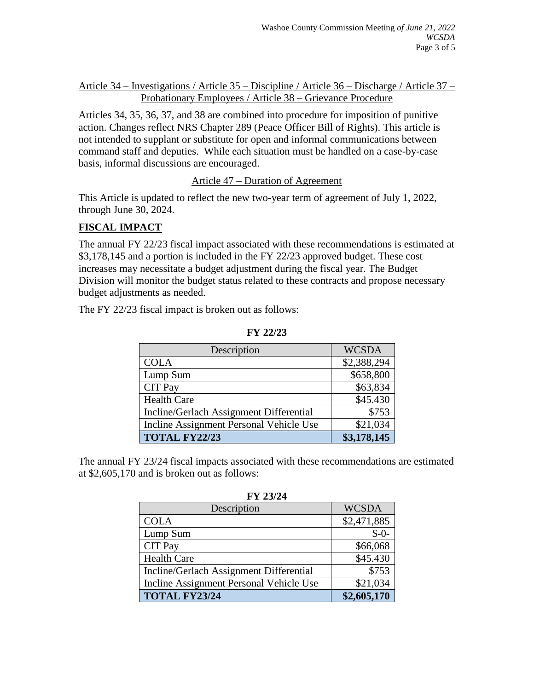Article 34 – Investigations / Article 35 – Discipline / Article 36 – Discharge / Article 37 – Probationary Employees / Article 38 – Grievance Procedure

Articles 34, 35, 36, 37, and 38 are combined into procedure for imposition of punitive action. Changes reflect NRS Chapter 289 (Peace Officer Bill of Rights). This article is not intended to supplant or substitute for open and informal communications between command staff and deputies. While each situation must be handled on a case-by-case basis, informal discussions are encouraged.

#### Article 47 – Duration of Agreement

This Article is updated to reflect the new two-year term of agreement of July 1, 2022, through June 30, 2024.

### **FISCAL IMPACT**

The annual FY 22/23 fiscal impact associated with these recommendations is estimated at \$3,178,145 and a portion is included in the FY 22/23 approved budget. These cost increases may necessitate a budget adjustment during the fiscal year. The Budget Division will monitor the budget status related to these contracts and propose necessary budget adjustments as needed.

The FY 22/23 fiscal impact is broken out as follows:

| Description                             | <b>WCSDA</b> |
|-----------------------------------------|--------------|
| <b>COLA</b>                             | \$2,388,294  |
| Lump Sum                                | \$658,800    |
| <b>CIT Pay</b>                          | \$63,834     |
| <b>Health Care</b>                      | \$45.430     |
| Incline/Gerlach Assignment Differential | \$753        |
| Incline Assignment Personal Vehicle Use | \$21,034     |
| <b>TOTAL FY22/23</b>                    | \$3,178,145  |

**FY 22/23**

The annual FY 23/24 fiscal impacts associated with these recommendations are estimated at \$2,605,170 and is broken out as follows:

| 1 1 201 27                              |              |
|-----------------------------------------|--------------|
| Description                             | <b>WCSDA</b> |
| <b>COLA</b>                             | \$2,471,885  |
| Lump Sum                                | $$ -0-$      |
| <b>CIT Pay</b>                          | \$66,068     |
| <b>Health Care</b>                      | \$45.430     |
| Incline/Gerlach Assignment Differential | \$753        |
| Incline Assignment Personal Vehicle Use | \$21,034     |
| <b>TOTAL FY23/24</b>                    | \$2,605,170  |

**FY 23/24**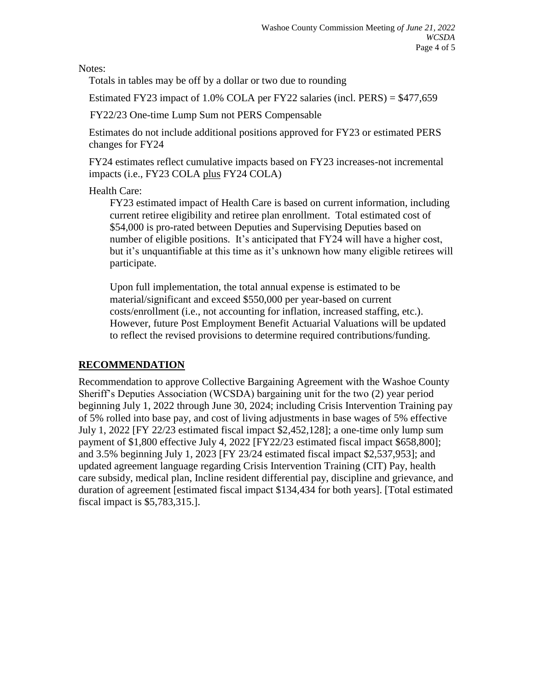Notes:

Totals in tables may be off by a dollar or two due to rounding

Estimated FY23 impact of 1.0% COLA per FY22 salaries (incl. PERS) = \$477,659

FY22/23 One-time Lump Sum not PERS Compensable

 Estimates do not include additional positions approved for FY23 or estimated PERS changes for FY24

 FY24 estimates reflect cumulative impacts based on FY23 increases-not incremental impacts (i.e., FY23 COLA plus FY24 COLA)

## Health Care:

FY23 estimated impact of Health Care is based on current information, including current retiree eligibility and retiree plan enrollment. Total estimated cost of \$54,000 is pro-rated between Deputies and Supervising Deputies based on number of eligible positions. It's anticipated that FY24 will have a higher cost, but it's unquantifiable at this time as it's unknown how many eligible retirees will participate.

Upon full implementation, the total annual expense is estimated to be material/significant and exceed \$550,000 per year-based on current costs/enrollment (i.e., not accounting for inflation, increased staffing, etc.). However, future Post Employment Benefit Actuarial Valuations will be updated to reflect the revised provisions to determine required contributions/funding.

## **RECOMMENDATION**

Recommendation to approve Collective Bargaining Agreement with the Washoe County Sheriff's Deputies Association (WCSDA) bargaining unit for the two (2) year period beginning July 1, 2022 through June 30, 2024; including Crisis Intervention Training pay of 5% rolled into base pay, and cost of living adjustments in base wages of 5% effective July 1, 2022 [FY 22/23 estimated fiscal impact \$2,452,128]; a one-time only lump sum payment of \$1,800 effective July 4, 2022 [FY22/23 estimated fiscal impact \$658,800]; and 3.5% beginning July 1, 2023 [FY 23/24 estimated fiscal impact \$2,537,953]; and updated agreement language regarding Crisis Intervention Training (CIT) Pay, health care subsidy, medical plan, Incline resident differential pay, discipline and grievance, and duration of agreement [estimated fiscal impact \$134,434 for both years]. [Total estimated fiscal impact is \$5,783,315.].